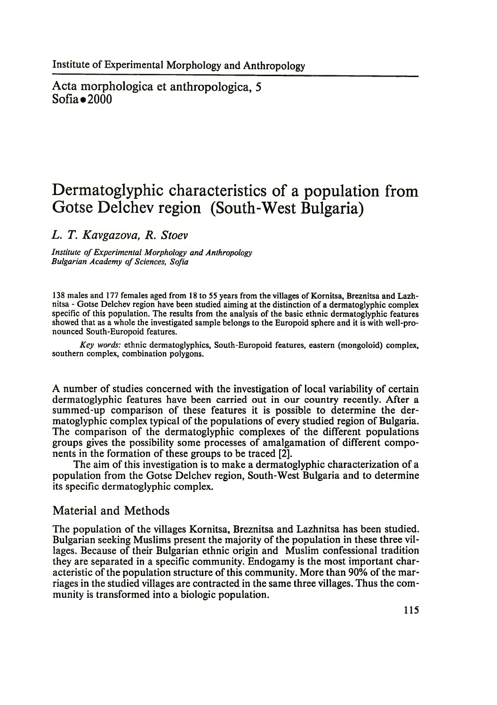Acta morphologica et anthropologica, 5  $Sofia \bullet 2000$ 

## **Dermatoglyphic characteristics of a population from Gotse Delchev region (South-West Bulgaria)**

*L. T. Kavgazova, R. Stoev*

*Institute of Experimental Morphology and Anthropology Bulgarian Academy of Sciences, Sofia*

138 males and 177 females aged from 18 to 55 years from the villages of Kornitsa, Breznitsa and Lazhnitsa - Gotse Delchev region have been studied aiming at the distinction of a dermatoglyphic complex specific of this population. The results from the analysis of the basic ethnic dermatoglyphic features showed that as a whole the investigated sample belongs to the Europoid sphere and it is with well-pronounced South-Europoid features.

*Key words:* ethnic dermatoglyphics, South-Europoid features, eastern (mongoloid) complex, southern complex, combination polygons.

A number of studies concerned with the investigation of local variability of certain dermatoglyphic features have been carried out in our country recently. After a summed-up comparison of these features it is possible to determine the dermatoglyphic complex typical of the populations of every studied region of Bulgaria. The comparison of the dermatoglyphic complexes of the different populations groups gives the possibility some processes of amalgamation of different components in the formation of these groups to be traced [2].

The aim of this investigation is to make a dermatoglyphic characterization of a population from the Gotse Delchev region, South-West Bulgaria and to determine its specific dermatoglyphic complex.

## Material and Methods

The population of the villages Kornitsa, Breznitsa and Lazhnitsa has been studied. Bulgarian seeking Muslims present the majority of the population in these three villages. Because of their Bulgarian ethnic origin and Muslim confessional tradition they are separated in a specific community. Endogamy is the most important characteristic of the population structure of this community. More than 90% of the marriages in the studied villages are contracted in the same three villages. Thus the community is transformed into a biologic population.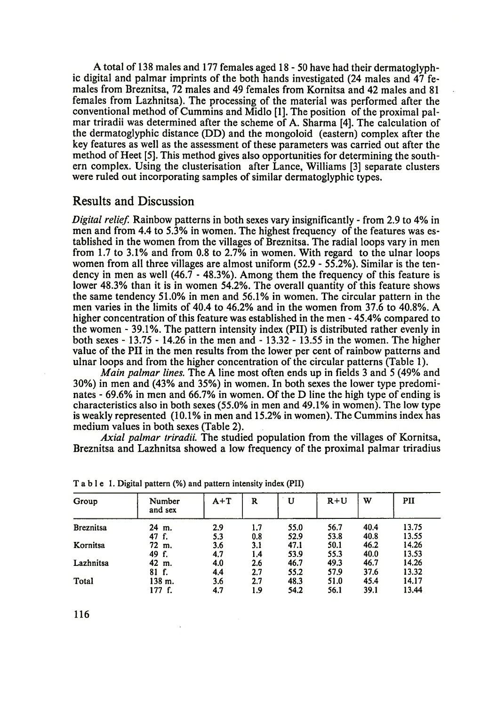A total of 138 males and 177 females aged 18-50 have had their dermatoglyphic digital and palmar imprints of the both hands investigated (24 males and 47 females from Breznitsa, 72 males and 49 females from Kornitsa and 42 males and 81 females from Lazhnitsa). The processing of the material was performed after the conventional method of Cummins and Midlo [1]. The position of the proximal palmar triradii was determined after the scheme of A. Sharma [4]. The calculation of the dermatoglyphic distance (DD) and the mongoloid (eastern) complex after the key features as well as the assessment of these parameters was carried out after the method of Heet [5]. This method gives also opportunities for determining the southern complex. Using the clusterisation after Lance, Williams [3] separate clusters were ruled out incorporating samples of similar dermatoglyphic types.

## Results and Discussion

*Digital relief.* Rainbow patterns in both sexes vary insignificantly - from 2.9 to 4% in men and from 4.4 to 5.3% in women. The highest frequency of the features was established in the women from the villages of Breznitsa. The radial loops vary in men from 1.7 to 3.1% and from 0.8 to 2.7% in women. With regard to the ulnar loops women from all three villages are almost uniform (52.9 - 55.2%). Similar is the tendency in men as well (46.7 - 48.3%). Among them the frequency of this feature is lower 48.3% than it is in women 54.2%. The overall quantity of this feature shows the same tendency 51.0% in men and 56.1% in women. The circular pattern in the men varies in the limits of 40.4 to 46.2% and in the women from 37.6 to 40.8%. A higher concentration of this feature was established in the men - 45.4% compared to the women - 39.1%. The pattern intensity index (PII) is distributed rather evenly in both sexes - 13.75 - 14.26 in the men and - 13.32 - 13.55 in the women. The higher value of the PII in the men results from the lower per cent of rainbow patterns and ulnar loops and from the higher concentration of the circular patterns (Table 1).

*Main palmar lines.* The A line most often ends up in fields 3 and 5 (49% and 30%) in men and (43% and 35%) in women. In both sexes the lower type predominates - 69.6% in men and 66.7% in women. Of the D line the high type of ending is characteristics also in both sexes (55.0% in men and 49.1% in women). The low type is weakly represented (10.1% in men and 15.2% in women). The Cummins index has medium values in both sexes (Table 2).

*Axial palmar triradii.* The studied population from the villages of Kornitsa, Breznitsa and Lazhnitsa showed a low frequency of the proximal palmar triradius

| Group            | Number<br>and sex | $A+T$ | R   | U    | $R+U$ | w    | PII   |
|------------------|-------------------|-------|-----|------|-------|------|-------|
| <b>Breznitsa</b> | 24 m.             | 2.9   | 1.7 | 55.0 | 56.7  | 40.4 | 13.75 |
|                  | 47 f.             | 5.3   | 0.8 | 52.9 | 53.8  | 40.8 | 13.55 |
| Kornitsa         | 72 m.             | 3.6   | 3.1 | 47.1 | 50.1  | 46.2 | 14.26 |
|                  | 49 f.             | 4.7   | 1.4 | 53.9 | 55.3  | 40.0 | 13.53 |
| Lazhnitsa        | 42 m.             | 4.0   | 2.6 | 46.7 | 49.3  | 46.7 | 14.26 |
|                  | 81 f.             | 4.4   | 2.7 | 55.2 | 57.9  | 37.6 | 13.32 |
| Total            | 138 m.            | 3.6   | 2.7 | 48.3 | 51.0  | 45.4 | 14.17 |
|                  | 177 f.            | 4.7   | 1.9 | 54.2 | 56.1  | 39.1 | 13.44 |

Table 1. Digital pattern (%) and pattern intensity index (PII)

116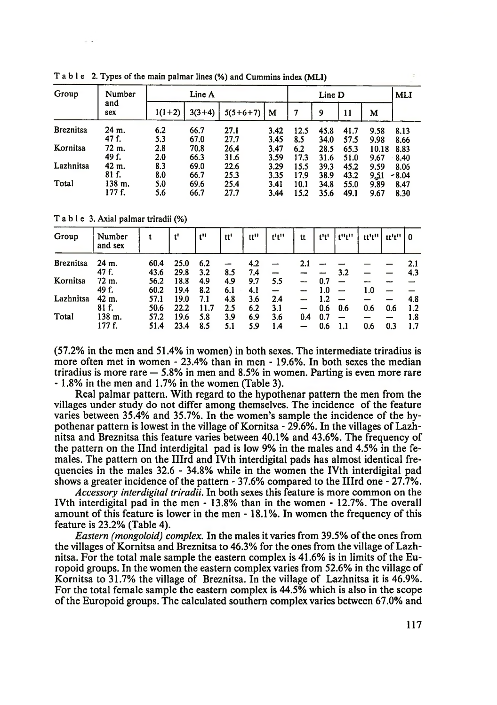| Group            | Number<br>and<br>sex |          | Line A   |            |      | <b>MLI</b> |      |      |       |         |
|------------------|----------------------|----------|----------|------------|------|------------|------|------|-------|---------|
|                  |                      | $1(1+2)$ | $3(3+4)$ | $5(5+6+7)$ | м    | 7          | 9    | 11   | м     |         |
| <b>Breznitsa</b> | 24 m.                | 6.2      | 66.7     | 27.1       | 3.42 | 12.5       | 45.8 | 41.7 | 9.58  | 8.13    |
|                  | 47 f.                | 5.3      | 67.0     | 27.7       | 3.45 | 8.5        | 34.0 | 57.5 | 9.98  | 8.66    |
| Kornitsa         | 72 m.                | 2.8      | 70.8     | 26.4       | 3.47 | 6.2        | 28.5 | 65.3 | 10.18 | 8.83    |
|                  | 49 f.                | 2.0      | 66.3     | 31.6       | 3.59 | 17.3       | 31.6 | 51.0 | 9.67  | 8.40    |
| Lazhnitsa        | 42 m.                | 8.3      | 69.0     | 22.6       | 3.29 | 15.5       | 39.3 | 45.2 | 9.59  | 8.06    |
|                  | 81 f.                | 8.0      | 66.7     | 25.3       | 3.35 | 17.9       | 38.9 | 43.2 | 9,51  | $-8.04$ |
| Total            | 138 m.               | 5.0      | 69.6     | 25.4       | 3.41 | 10.1       | 34.8 | 55.0 | 9.89  | 8.47    |
|                  | 177 f.               | 5.6      | 66.7     | 27.7       | 3.44 | 15.2       | 35.6 | 49.1 | 9.67  | 8.30    |

T able 2. Types of the main palmar lines (%) and Cummins index (MLI)

T able 3. Axial palmar triradii (%)

| Group            | Number<br>and sex |      | ť    | t"   | tt' | tt" | t <sup>1</sup> t <sup>11</sup> | tt  | t't' | t"t" | tt't" | tt't'' | ∣ 0 |
|------------------|-------------------|------|------|------|-----|-----|--------------------------------|-----|------|------|-------|--------|-----|
| <b>Breznitsa</b> | 24 m.             | 60.4 | 25.0 | 6.2  | -   | 4.2 |                                | 2.1 |      |      |       |        | 2.1 |
|                  | 47 f.             | 43.6 | 29.8 | 3.2  | 8.5 | 7.4 |                                |     |      | 3.2  |       |        | 4.3 |
| Kornitsa         | 72 m.             | 56.2 | 18.8 | 4.9  | 4.9 | 9.7 | 5.5                            |     | 0.7  |      |       |        |     |
|                  | 49 f.             | 60.2 | 19.4 | 8.2  | 6.1 | 4.1 |                                |     | 1.0  |      | 1.0   |        |     |
| Lazhnitsa        | 42 m.             | 57.1 | 19.0 | 7.1  | 4.8 | 3.6 | 2.4                            |     | 1.2  |      |       |        | 4.8 |
|                  | 81 f.             | 50.6 | 22.2 | 11.7 | 2.5 | 6.2 | 3.1                            |     | 0.6  | 0.6  | 0.6   | 0.6    | 1.2 |
| Total            | 138 m.            | 57.2 | 19.6 | 5.8  | 3.9 | 6.9 | 3.6                            | 0.4 | 0.7  |      |       |        | 1.8 |
|                  | 177 f.            | 51.4 | 23.4 | 8.5  | 5.1 | 5.9 | 1.4                            |     | 0.6  |      | 0.6   | 0.3    | 1.7 |

(57.2% in the men and 51.4% in women) in both sexes. The intermediate triradius is more often met in women - 23.4% than in men - 19.6%. In both sexes the median triradius is more rare  $-5.8\%$  in men and 8.5% in women. Parting is even more rare -1.8% in the men and 1.7% in the women (Table 3).

Real palmar pattern. With regard to the hypothenar pattern the men from the villages under study do not differ among themselves. The incidence of the feature varies between 35.4% and 35.7%. In the women's sample the incidence of the hypothenar pattern is lowest in the village of Kornitsa - 29.6%. In the villages of Lazhnitsa and Breznitsa this feature varies between 40.1% and 43.6%. The frequency of the pattern on the Ilnd interdigital pad is low 9% in the males and 4.5% in the females. The pattern on the Illrd and IVth interdigital pads has almost identical frequencies in the males 32.6 - 34.8% while in the women the IVth interdigital pad shows a greater incidence of the pattern - 37.6% compared to the Illrd one - 27.7%.

*Accessory interdigital triradii.* In both sexes this feature is more common on the IVth interdigital pad in the men - 13.8% than in the women - 12.7%. The overall amount of this feature is lower in the men -18.1%. In women the frequency of this feature is 23.2% (Table 4).

*Eastern (mongoloid) complex.* In the males it varies from 39.5% of the ones from the villages of Kornitsa and Breznitsa to 46.3% for the ones from the village of Lazhnitsa. For the total male sample the eastern complex is 41.6% is in limits of the Europoid groups. In the women the eastern complex varies from 52.6% in the village of Kornitsa to 31.7% the village of Breznitsa. In the village of Lazhnitsa it is 46.9%. For the total female sample the eastern complex is 44.5% which is also in the scope of the Europoid groups. The calculated southern complex varies between 67.0% and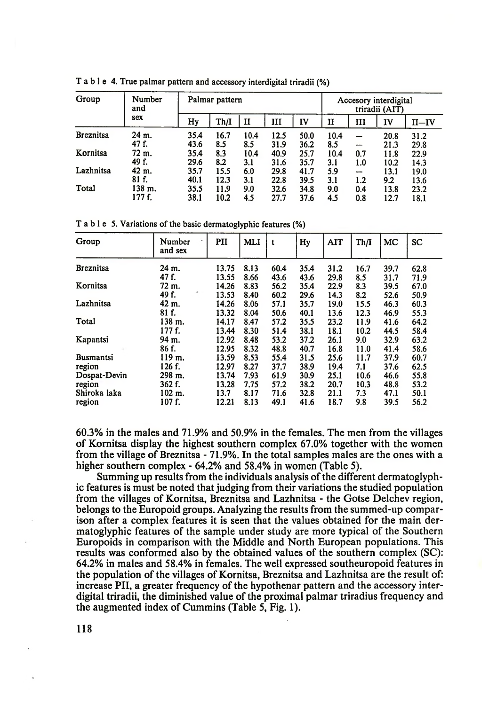| Group            | Number<br>and |      | Palmar pattern |      |      | Accesory interdigital<br>triradii (AIT) |              |     |      |       |
|------------------|---------------|------|----------------|------|------|-----------------------------------------|--------------|-----|------|-------|
|                  | sex           | Hy   | Th/I           | и    | ш    | IV                                      | $\mathbf{I}$ | ш   | IV   | II—IV |
| <b>Breznitsa</b> | 24 m.         | 35.4 | 16.7           | 10.4 | 12.5 | 50.0                                    | 10.4         |     | 20.8 | 31.2  |
|                  | 47 f.         | 43.6 | 8.5            | 8.5  | 31.9 | 36.2                                    | 8.5          | --- | 21.3 | 29.8  |
| Kornitsa         | 72 m.         | 35.4 | 8.3            | 10.4 | 40.9 | 25.7                                    | 10.4         | 0.7 | 11.8 | 22.9  |
|                  | 49 f.         | 29.6 | 8.2            | 3.1  | 31.6 | 35.7                                    | 3.1          | 1.0 | 10.2 | 14.3  |
| Lazhnitsa        | 42 m.         | 35.7 | 15.5           | 6.0  | 29.8 | 41.7                                    | 5.9          | -   | 13.1 | 19.0  |
|                  | 81 f.         | 40.1 | 12.3           | 3.1  | 22.8 | 39.5                                    | 3.1          | 1.2 | 9.2  | 13.6  |
| Total            | 138 m.        | 35.5 | 11.9           | 9.0  | 32.6 | 34.8                                    | 9.0          | 0.4 | 13.8 | 23.2  |
|                  | 177 f.        | 38.1 | 10.2           | 4.5  | 27.7 | 37.6                                    | 4.5          | 0.8 | 12.7 | 18.1  |

T able 4. True palmar pattern and accessory interdigital triradii (%)

T able 5. Variations of the basic dermatoglyphic features (%)

| Group            | Number<br>and sex | PII   | <b>MLI</b> | t    | Hy   | <b>AIT</b> | Th/I | MC   | <b>SC</b> |
|------------------|-------------------|-------|------------|------|------|------------|------|------|-----------|
| <b>Breznitsa</b> | 24 m.             | 13.75 | 8.13       | 60.4 | 35.4 | 31.2       | 16.7 | 39.7 | 62.8      |
|                  | $47f$ .           | 13.55 | 8.66       | 43.6 | 43.6 | 29.8       | 8.5  | 31.7 | 71.9      |
| Kornitsa         | 72 m.             | 14.26 | 8.83       | 56.2 | 35.4 | 22.9       | 8.3  | 39.5 | 67.0      |
|                  | 49 f.             | 13.53 | 8.40       | 60.2 | 29.6 | 14.3       | 8.2  | 52.6 | 50.9      |
| Lazhnitsa        | 42 m.             | 14.26 | 8.06       | 57.1 | 35.7 | 19.0       | 15.5 | 46.3 | 60.3      |
|                  | 81 f.             | 13.32 | 8.04       | 50.6 | 40.1 | 13.6       | 12.3 | 46.9 | 55.3      |
| Total            | 138 m.            | 14.17 | 8.47       | 57.2 | 35.5 | 23.2       | 11.9 | 41.6 | 64.2      |
|                  | 177 f.            | 13.44 | 8.30       | 51.4 | 38.1 | 18.1       | 10.2 | 44.5 | 58.4      |
| Kapantsi         | 94 m.             | 12.92 | 8.48       | 53.2 | 37.2 | 26.1       | 9.0  | 32.9 | 63.2      |
|                  | 86 f.             | 12.95 | 8.32       | 48.8 | 40.7 | 16.8       | 11.0 | 41.4 | 58.6      |
| <b>Busmantsi</b> | 119 m.            | 13.59 | 8.53       | 55.4 | 31.5 | 25.6       | 11.7 | 37.9 | 60.7      |
| region           | 126 f.            | 12.97 | 8.27       | 37.7 | 38.9 | 19.4       | 7.1  | 37.6 | 62.5      |
| Dospat-Devin     | 298 m.            | 13.74 | 7.93       | 61.9 | 30.9 | 25.1       | 10.6 | 46.6 | 55.8      |
| region           | 362 f.            | 13.28 | 7.75       | 57.2 | 38.2 | 20.7       | 10.3 | 48.8 | 53.2      |
| Shiroka laka     | $102 \; m.$       | 13.7  | 8.17       | 71.6 | 32.8 | 21.1       | 7.3  | 47.1 | 50.1      |
| region           | 107 f.            | 12.21 | 8.13       | 49.1 | 41.6 | 18.7       | 9.8  | 39.5 | 56.2      |

60.3% in the males and 71.9% and 50.9% in the females The men from the villages of Kornitsa display the highest southern complex 67.0% together with the women from the village of Breznitsa - 71.9%. In the total samples males are the ones with a higher southern complex - 64.2% and 58.4% in women (Table 5).

Summing up results from the individuals analysis of the different dermatoglyphic features is must be noted that judging from their variations the studied population from the villages of Kornitsa, Breznitsa and Lazhnitsa - the Gotse Delchev region, belongs to the Europoid groups. Analyzing the results from the summed-up comparison after a complex features it is seen that the values obtained for the main dermatoglyphic features of the sample under study are more typical of the Southern Europoids in comparison with the Middle and North European populations. This results was conformed also by the obtained values of the southern complex (SC): 64.2% in males and 58.4% in females. The well expressed southeuropoid features in the population of the villages of Kornitsa, Breznitsa and Lazhnitsa are the result of: increase PII, a greater frequency of the hypothenar pattern and the accessory interdigital triradii, the diminished value of the proximal palmar triradius frequency and the augmented index of Cummins (Table 5, Fig. 1).

118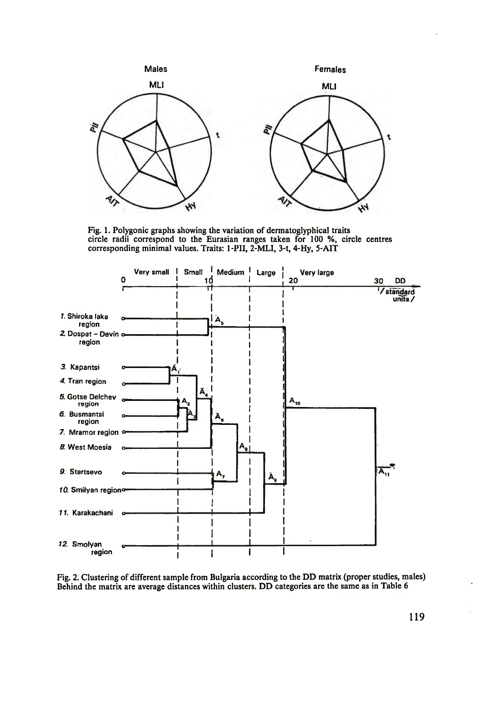

Fig. 1. Polygonic graphs showing the variation of dermatoglyphical traits circle radii correspond to the Eurasian ranges taken for 100 %, circle centres corresponding minimal values. Traits: 1-PII, 2-MLI, 3-t, 4-Hy, 5-AIT



Fig. 2. Clustering of different sample from Bulgaria according to the DD matrix (proper studies, males) Behind the matrix are average distances within clusters. DD categories are the same as in Table 6